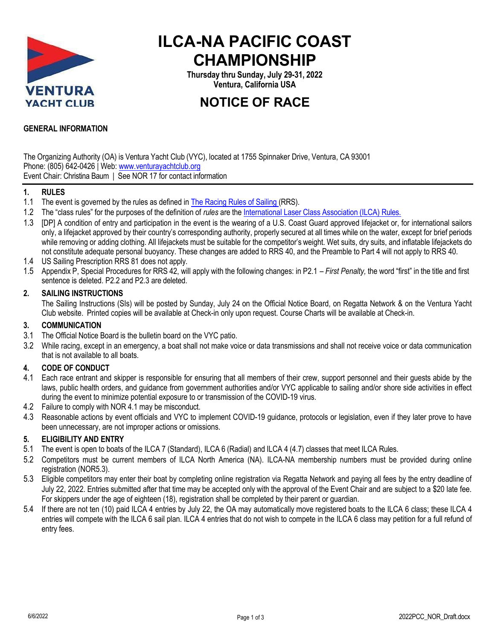

# **ILCA-NA PACIFIC COAST CHAMPIONSHIP**

**Thursday thru Sunday, July 29-31, 2022 Ventura, California USA**

## **NOTICE OF RACE**

## **GENERAL INFORMATION**

The Organizing Authority (OA) is Ventura Yacht Club (VYC), located at 1755 Spinnaker Drive, Ventura, CA 93001 Phone: (805) 642-0426 | Web: www.venturayachtclub.org Event Chair: Christina Baum | See NOR 17 for contact information

#### **1. RULES**

- 1.1 The event is governed by the rules as defined in The Racing Rules of Sailing (RRS).
- 1.2 The "class rules" for the purposes of the definition of *rules* are the International Laser Class Association (ILCA) Rules.
- 1.3 [DP] A condition of entry and participation in the event is the wearing of a U.S. Coast Guard approved lifejacket or, for international sailors only, a lifejacket approved by their country's corresponding authority, properly secured at all times while on the water, except for brief periods while removing or adding clothing. All lifejackets must be suitable for the competitor's weight. Wet suits, dry suits, and inflatable lifejackets do not constitute adequate personal buoyancy. These changes are added to RRS 40, and the Preamble to Part 4 will not apply to RRS 40.
- 1.4 US Sailing Prescription RRS 81 does not apply.
- 1.5 Appendix P, Special Procedures for RRS 42, will apply with the following changes: in P2.1 *First Penalty,* the word "first" in the title and first sentence is deleted. P2.2 and P2.3 are deleted.

#### **2. SAILING INSTRUCTIONS**

The Sailing Instructions (SIs) will be posted by Sunday, July 24 on the Official Notice Board, on Regatta Network & on the Ventura Yacht Club website. Printed copies will be available at Check-in only upon request. Course Charts will be available at Check-in.

#### **3. COMMUNICATION**

- 3.1 The Official Notice Board is the bulletin board on the VYC patio.
- 3.2 While racing, except in an emergency, a boat shall not make voice or data transmissions and shall not receive voice or data communication that is not available to all boats.

#### **4. CODE OF CONDUCT**

- 4.1 Each race entrant and skipper is responsible for ensuring that all members of their crew, support personnel and their guests abide by the laws, public health orders, and guidance from government authorities and/or VYC applicable to sailing and/or shore side activities in effect during the event to minimize potential exposure to or transmission of the COVID-19 virus.
- 4.2 Failure to comply with NOR 4.1 may be misconduct.
- 4.3 Reasonable actions by event officials and VYC to implement COVID-19 guidance, protocols or legislation, even if they later prove to have been unnecessary, are not improper actions or omissions.

#### **5. ELIGIBILITY AND ENTRY**

- 5.1 The event is open to boats of the ILCA 7 (Standard), ILCA 6 (Radial) and ILCA 4 (4.7) classes that meet ILCA Rules.
- 5.2 Competitors must be current members of ILCA North America (NA). ILCA-NA membership numbers must be provided during online registration (NOR5.3).
- 5.3 Eligible competitors may enter their boat by completing online registration via Regatta Network and paying all fees by the entry deadline of July 22, 2022. Entries submitted after that time may be accepted only with the approval of the Event Chair and are subject to a \$20 late fee. For skippers under the age of eighteen (18), registration shall be completed by their parent or guardian.
- 5.4 If there are not ten (10) paid ILCA 4 entries by July 22, the OA may automatically move registered boats to the ILCA 6 class; these ILCA 4 entries will compete with the ILCA 6 sail plan. ILCA 4 entries that do not wish to compete in the ILCA 6 class may petition for a full refund of entry fees.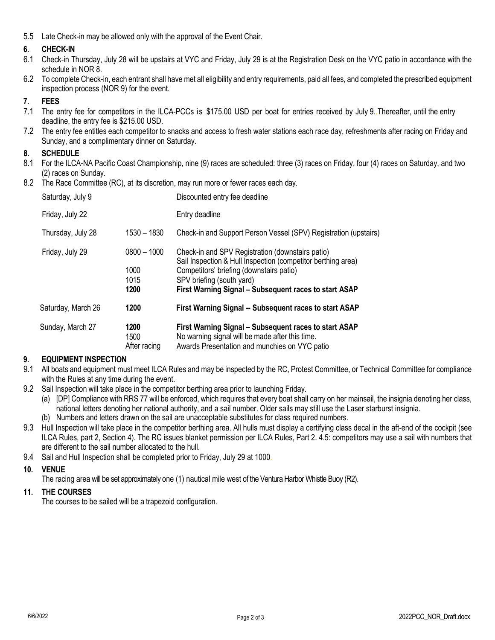5.5 Late Check-in may be allowed only with the approval of the Event Chair.

## **6. CHECK-IN**

- 6.1 Check-in Thursday, July 28 will be upstairs at VYC and Friday, July 29 is at the Registration Desk on the VYC patio in accordance with the schedule in NOR 8.
- 6.2 To complete Check-in, each entrant shall have met all eligibility and entry requirements, paid all fees, and completed the prescribed equipment inspection process (NOR 9) for the event.

## **7. FEES**

- 7.1 The entry fee for competitors in the ILCA-PCCs is \$175.00 USD per boat for entries received by July 9..Thereafter, until the entry deadline, the entry fee is \$215.00 USD.
- 7.2 The entry fee entitles each competitor to snacks and access to fresh water stations each race day, refreshments after racing on Friday and Sunday, and a complimentary dinner on Saturday.

### **8. SCHEDULE**

- 8.1 For the ILCA-NA Pacific Coast Championship, nine (9) races are scheduled: three (3) races on Friday, four (4) races on Saturday, and two (2) races on Sunday.
- 8.2 The Race Committee (RC), at its discretion, may run more or fewer races each day.

| Sunday, March 27   | 1200<br>1500<br>After racing | First Warning Signal – Subsequent races to start ASAP<br>No warning signal will be made after this time.<br>Awards Presentation and munchies on VYC patio                                      |
|--------------------|------------------------------|------------------------------------------------------------------------------------------------------------------------------------------------------------------------------------------------|
| Saturday, March 26 | 1200                         | First Warning Signal -- Subsequent races to start ASAP                                                                                                                                         |
|                    | 1000<br>1015<br>1200         | Sail Inspection & Hull Inspection (competitor berthing area)<br>Competitors' briefing (downstairs patio)<br>SPV briefing (south yard)<br>First Warning Signal - Subsequent races to start ASAP |
| Friday, July 29    | $0800 - 1000$                | Check-in and SPV Registration (downstairs patio)                                                                                                                                               |
| Thursday, July 28  | $1530 - 1830$                | Check-in and Support Person Vessel (SPV) Registration (upstairs)                                                                                                                               |
| Friday, July 22    |                              | Entry deadline                                                                                                                                                                                 |
| Saturday, July 9   |                              | Discounted entry fee deadline                                                                                                                                                                  |

#### **9. EQUIPMENT INSPECTION**

- 9.1 All boats and equipment must meet ILCA Rules and may be inspected by the RC, Protest Committee, or Technical Committee for compliance with the Rules at any time during the event.
- 9.2 Sail Inspection will take place in the competitor berthing area prior to launching Friday.
	- (a) [DP] Compliance with RRS 77 will be enforced, which requires that every boat shall carry on her mainsail, the insignia denoting her class, national letters denoting her national authority, and a sail number. Older sails may still use the Laser starburst insignia.
	- (b) Numbers and letters drawn on the sail are unacceptable substitutes for class required numbers.
- 9.3 Hull Inspection will take place in the competitor berthing area. All hulls must display a certifying class decal in the aft-end of the cockpit (see ILCA Rules, part 2, Section 4). The RC issues blanket permission per ILCA Rules, Part 2. 4.5: competitors may use a sail with numbers that are different to the sail number allocated to the hull.
- 9.4 Sail and Hull Inspection shall be completed prior to Friday, July 29 at 1000.

## **10. VENUE**

The racing area will be set approximately one (1) nautical mile west of the Ventura Harbor Whistle Buoy (R2).

#### **11. THE COURSES**

The courses to be sailed will be a trapezoid configuration.